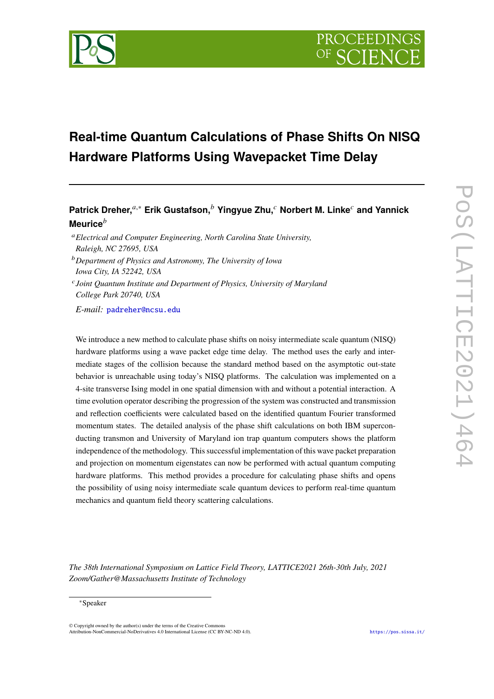

# **Real-time Quantum Calculations of Phase Shifts On NISQ Hardware Platforms Using Wavepacket Time Delay**

# **Patrick Dreher,**<sup>*a*,∗</sup> **Erik Gustafson,<sup>***b***</sup> Yingyue Zhu,<sup>***c***</sup> Norbert M. Linke<sup>***c***</sup> and Yannick</sub> Meurice**

*Electrical and Computer Engineering, North Carolina State University, Raleigh, NC 27695, USA*

*Department of Physics and Astronomy, The University of Iowa Iowa City, IA 52242, USA*

 *Joint Quantum Institute and Department of Physics, University of Maryland College Park 20740, USA*

*E-mail:* [padreher@ncsu.edu](mailto:padreher@ncsu.edu)

We introduce a new method to calculate phase shifts on noisy intermediate scale quantum (NISQ) hardware platforms using a wave packet edge time delay. The method uses the early and intermediate stages of the collision because the standard method based on the asymptotic out-state behavior is unreachable using today's NISQ platforms. The calculation was implemented on a 4-site transverse Ising model in one spatial dimension with and without a potential interaction. A time evolution operator describing the progression of the system was constructed and transmission and reflection coefficients were calculated based on the identified quantum Fourier transformed momentum states. The detailed analysis of the phase shift calculations on both IBM superconducting transmon and University of Maryland ion trap quantum computers shows the platform independence of the methodology. This successful implementation of this wave packet preparation and projection on momentum eigenstates can now be performed with actual quantum computing hardware platforms. This method provides a procedure for calculating phase shifts and opens the possibility of using noisy intermediate scale quantum devices to perform real-time quantum mechanics and quantum field theory scattering calculations.

*The 38th International Symposium on Lattice Field Theory, LATTICE2021 26th-30th July, 2021 Zoom/Gather@Massachusetts Institute of Technology*

#### <sup>∗</sup>Speaker

 $\odot$  Copyright owned by the author(s) under the terms of the Creative Common Attribution-NonCommercial-NoDerivatives 4.0 International License (CC BY-NC-ND 4.0). <https://pos.sissa.it/>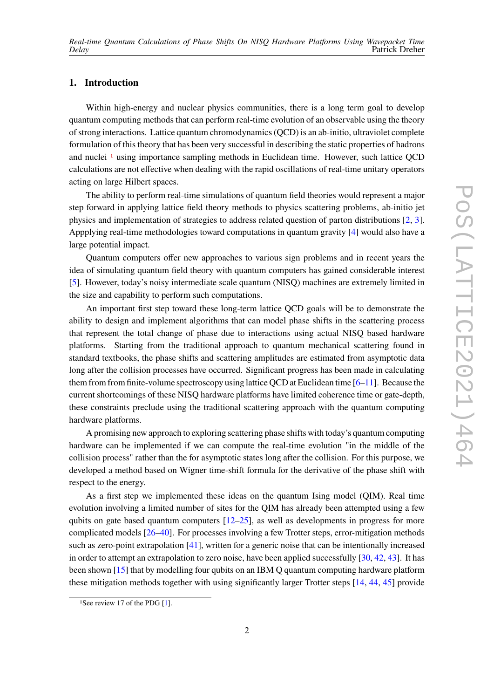# **1. Introduction**

Within high-energy and nuclear physics communities, there is a long term goal to develop quantum computing methods that can perform real-time evolution of an observable using the theory of strong interactions. Lattice quantum chromodynamics (QCD) is an ab-initio, ultraviolet complete formulation of this theory that has been very successful in describing the static properties of hadrons and nuclei <sup>[1](#page-1-0)</sup> using importance sampling methods in Euclidean time. However, such lattice QCD calculations are not effective when dealing with the rapid oscillations of real-time unitary operators acting on large Hilbert spaces.

The ability to perform real-time simulations of quantum field theories would represent a major step forward in applying lattice field theory methods to physics scattering problems, ab-initio jet physics and implementation of strategies to address related question of parton distributions [\[2,](#page-8-0) [3\]](#page-8-1). Appplying real-time methodologies toward computations in quantum gravity [\[4\]](#page-8-2) would also have a large potential impact.

Quantum computers offer new approaches to various sign problems and in recent years the idea of simulating quantum field theory with quantum computers has gained considerable interest [\[5\]](#page-8-3). However, today's noisy intermediate scale quantum (NISQ) machines are extremely limited in the size and capability to perform such computations.

An important first step toward these long-term lattice QCD goals will be to demonstrate the ability to design and implement algorithms that can model phase shifts in the scattering process that represent the total change of phase due to interactions using actual NISQ based hardware platforms. Starting from the traditional approach to quantum mechanical scattering found in standard textbooks, the phase shifts and scattering amplitudes are estimated from asymptotic data long after the collision processes have occurred. Significant progress has been made in calculating them from finite-volume spectroscopy using lattice QCD at Euclidean time  $[6-11]$  $[6-11]$ . Because the current shortcomings of these NISQ hardware platforms have limited coherence time or gate-depth, these constraints preclude using the traditional scattering approach with the quantum computing hardware platforms.

A promising new approach to exploring scattering phase shifts with today's quantum computing hardware can be implemented if we can compute the real-time evolution "in the middle of the collision process" rather than the for asymptotic states long after the collision. For this purpose, we developed a method based on Wigner time-shift formula for the derivative of the phase shift with respect to the energy.

As a first step we implemented these ideas on the quantum Ising model (QIM). Real time evolution involving a limited number of sites for the QIM has already been attempted using a few qubits on gate based quantum computers  $[12-25]$  $[12-25]$ , as well as developments in progress for more complicated models [\[26–](#page-9-1)[40\]](#page-10-0). For processes involving a few Trotter steps, error-mitigation methods such as zero-point extrapolation [\[41\]](#page-10-1), written for a generic noise that can be intentionally increased in order to attempt an extrapolation to zero noise, have been applied successfully [\[30,](#page-10-2) [42,](#page-11-0) [43\]](#page-11-1). It has been shown [\[15\]](#page-9-2) that by modelling four qubits on an IBM Q quantum computing hardware platform these mitigation methods together with using significantly larger Trotter steps [\[14,](#page-9-3) [44,](#page-11-2) [45\]](#page-11-3) provide

<span id="page-1-0"></span><sup>&</sup>lt;sup>1</sup>See review 17 of the PDG [\[1\]](#page-8-7).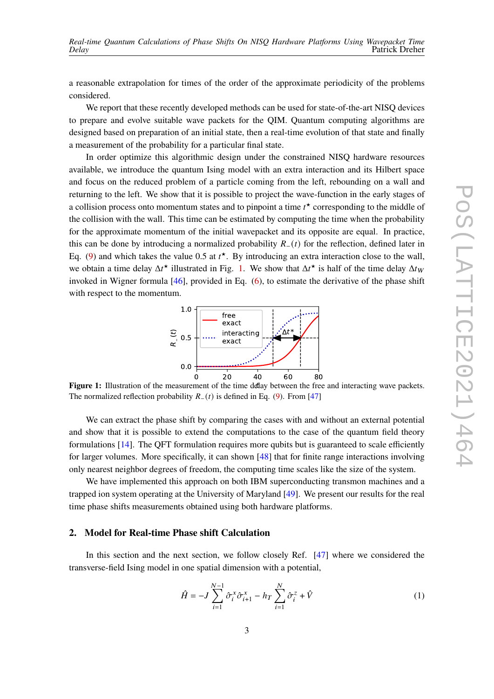a reasonable extrapolation for times of the order of the approximate periodicity of the problems considered.

We report that these recently developed methods can be used for state-of-the-art NISO devices to prepare and evolve suitable wave packets for the QIM. Quantum computing algorithms are designed based on preparation of an initial state, then a real-time evolution of that state and finally a measurement of the probability for a particular final state.

In order optimize this algorithmic design under the constrained NISQ hardware resources available, we introduce the quantum Ising model with an extra interaction and its Hilbert space and focus on the reduced problem of a particle coming from the left, rebounding on a wall and returning to the left. We show that it is possible to project the wave-function in the early stages of a collision process onto momentum states and to pinpoint a time  $t^{\star}$  corresponding to the middle of the collision with the wall. This time can be estimated by computing the time when the probability for the approximate momentum of the initial wavepacket and its opposite are equal. In practice, this can be done by introducing a normalized probability  $R_-(t)$  for the reflection, defined later in Eq. [\(9\)](#page-3-0) and which takes the value 0.5 at  $t^*$ . By introducing an extra interaction close to the wall, we obtain a time delay  $\Delta t^*$  illustrated in Fig. [1.](#page-2-0) We show that  $\Delta t^*$  is half of the time delay  $\Delta t_W$ invoked in Wigner formula [\[46\]](#page-11-4), provided in Eq. [\(6\)](#page-3-1), to estimate the derivative of the phase shift with respect to the momentum.



<span id="page-2-0"></span>**Figure 1:** Illustration of the measurement of the time delay between the free and interacting wave packets. The normalized reflection probability  $R_-(t)$  is defined in Eq. [\(9\)](#page-3-0). From [\[47\]](#page-11-5)

We can extract the phase shift by comparing the cases with and without an external potential and show that it is possible to extend the computations to the case of the quantum field theory formulations [\[14\]](#page-9-3). The QFT formulation requires more qubits but is guaranteed to scale efficiently for larger volumes. More specifically, it can shown [\[48\]](#page-11-6) that for finite range interactions involving only nearest neighbor degrees of freedom, the computing time scales like the size of the system.

We have implemented this approach on both IBM superconducting transmon machines and a trapped ion system operating at the University of Maryland [\[49\]](#page-11-7). We present our results for the real time phase shifts measurements obtained using both hardware platforms.

#### **2. Model for Real-time Phase shift Calculation**

In this section and the next section, we follow closely Ref. [\[47\]](#page-11-5) where we considered the transverse-field Ising model in one spatial dimension with a potential,

<span id="page-2-1"></span>
$$
\hat{H} = -J \sum_{i=1}^{N-1} \hat{\sigma}_i^x \hat{\sigma}_{i+1}^x - h_T \sum_{i=1}^N \hat{\sigma}_i^z + \hat{V}
$$
\n(1)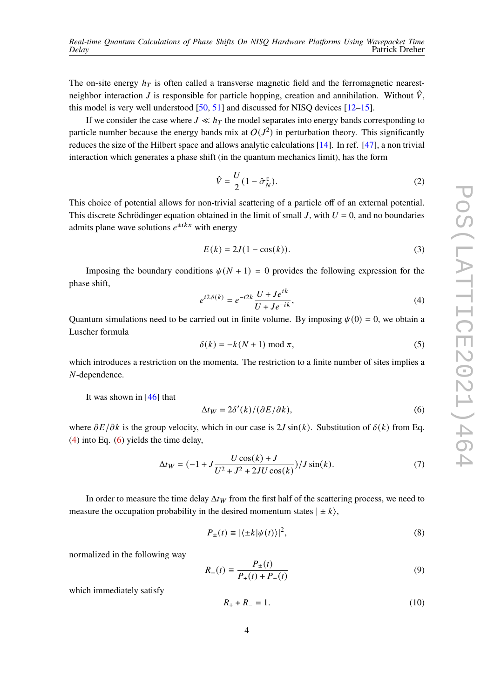The on-site energy  $h_T$  is often called a transverse magnetic field and the ferromagnetic nearestneighbor interaction J is responsible for particle hopping, creation and annihilation. Without  $\hat{V}$ , this model is very well understood  $[50, 51]$  $[50, 51]$  $[50, 51]$  and discussed for NISQ devices  $[12-15]$  $[12-15]$ .

If we consider the case where  $J \ll h_T$  the model separates into energy bands corresponding to particle number because the energy bands mix at  $O(J^2)$  in perturbation theory. This significantly reduces the size of the Hilbert space and allows analytic calculations [\[14\]](#page-9-3). In ref. [\[47\]](#page-11-5), a non trivial interaction which generates a phase shift (in the quantum mechanics limit), has the form

$$
\hat{V} = \frac{U}{2} (1 - \hat{\sigma}_N^z). \tag{2}
$$

This choice of potential allows for non-trivial scattering of a particle off of an external potential. This discrete Schrödinger equation obtained in the limit of small J, with  $U = 0$ , and no boundaries admits plane wave solutions  $e^{\pm i kx}$  with energy

$$
E(k) = 2J(1 - \cos(k)).
$$
 (3)

Imposing the boundary conditions  $\psi(N + 1) = 0$  provides the following expression for the phase shift,

<span id="page-3-2"></span>
$$
e^{i2\delta(k)} = e^{-i2k} \frac{U + Je^{ik}}{U + Je^{-ik}},\tag{4}
$$

Quantum simulations need to be carried out in finite volume. By imposing  $\psi(0) = 0$ , we obtain a Luscher formula

$$
\delta(k) = -k(N+1) \bmod \pi,\tag{5}
$$

which introduces a restriction on the momenta. The restriction to a finite number of sites implies a N-dependence.

It was shown in  $[46]$  that

<span id="page-3-1"></span>
$$
\Delta t_W = 2\delta'(k)/(\partial E/\partial k),\tag{6}
$$

where  $\partial E/\partial k$  is the group velocity, which in our case is 2J sin(k). Substitution of  $\delta(k)$  from Eq. [\(4\)](#page-3-2) into Eq. [\(6\)](#page-3-1) yields the time delay,

$$
\Delta t_W = (-1 + J \frac{U \cos(k) + J}{U^2 + J^2 + 2JU \cos(k)}) / J \sin(k). \tag{7}
$$

In order to measure the time delay  $\Delta t_W$  from the first half of the scattering process, we need to measure the occupation probability in the desired momentum states  $|\pm k\rangle$ ,

$$
P_{\pm}(t) \equiv |\langle \pm k | \psi(t) \rangle|^2, \tag{8}
$$

normalized in the following way

<span id="page-3-0"></span>
$$
R_{\pm}(t) \equiv \frac{P_{\pm}(t)}{P_{+}(t) + P_{-}(t)}
$$
(9)

which immediately satisfy

$$
R_{+} + R_{-} = 1. \tag{10}
$$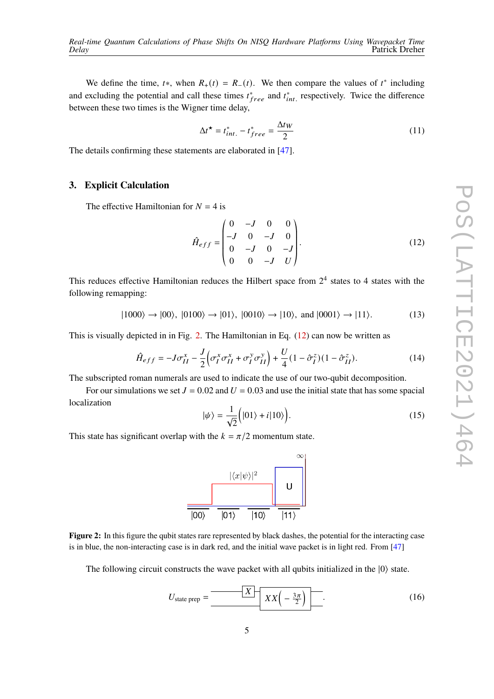We define the time,  $t^*$ , when  $R_+(t) = R_-(t)$ . We then compare the values of  $t^*$  including and excluding the potential and call these times  $t^*_{free}$  and  $t^*_{int}$  respectively. Twice the difference between these two times is the Wigner time delay,

$$
\Delta t^{\star} = t_{int.}^{*} - t_{free}^{*} = \frac{\Delta t_W}{2}
$$
 (11)

The details confirming these statements are elaborated in [\[47\]](#page-11-5).

### **3. Explicit Calculation**

The effective Hamiltonian for  $N = 4$  is

<span id="page-4-1"></span>
$$
\hat{H}_{eff} = \begin{pmatrix}\n0 & -J & 0 & 0 \\
-J & 0 & -J & 0 \\
0 & -J & 0 & -J \\
0 & 0 & -J & U\n\end{pmatrix}.
$$
\n(12)

This reduces effective Hamiltonian reduces the Hilbert space from  $2<sup>4</sup>$  states to 4 states with the following remapping:

$$
|1000\rangle \rightarrow |00\rangle, |0100\rangle \rightarrow |01\rangle, |0010\rangle \rightarrow |10\rangle, \text{ and } |0001\rangle \rightarrow |11\rangle. \tag{13}
$$

This is visually depicted in in Fig. [2.](#page-4-0) The Hamiltonian in Eq.  $(12)$  can now be written as

$$
\hat{H}_{eff} = -J\sigma_{II}^x - \frac{J}{2} \left( \sigma_I^x \sigma_{II}^x + \sigma_I^y \sigma_{II}^y \right) + \frac{U}{4} (1 - \hat{\sigma}_I^z)(1 - \hat{\sigma}_{II}^z). \tag{14}
$$

The subscripted roman numerals are used to indicate the use of our two-qubit decomposition.

For our simulations we set  $J = 0.02$  and  $U = 0.03$  and use the initial state that has some spacial localization

$$
|\psi\rangle = \frac{1}{\sqrt{2}} (|01\rangle + i|10\rangle).
$$
 (15)

<span id="page-4-0"></span>This state has significant overlap with the  $k = \pi/2$  momentum state.



**Figure 2:** In this figure the qubit states rare represented by black dashes, the potential for the interacting case is in blue, the non-interacting case is in dark red, and the initial wave packet is in light red. From [\[47\]](#page-11-5)

The following circuit constructs the wave packet with all qubits initialized in the  $|0\rangle$  state.

$$
U_{\text{state prep}} = \frac{X}{X \left(16\right)} \left[ \frac{X}{X \left(-\frac{3\pi}{2}\right)} \right] \tag{16}
$$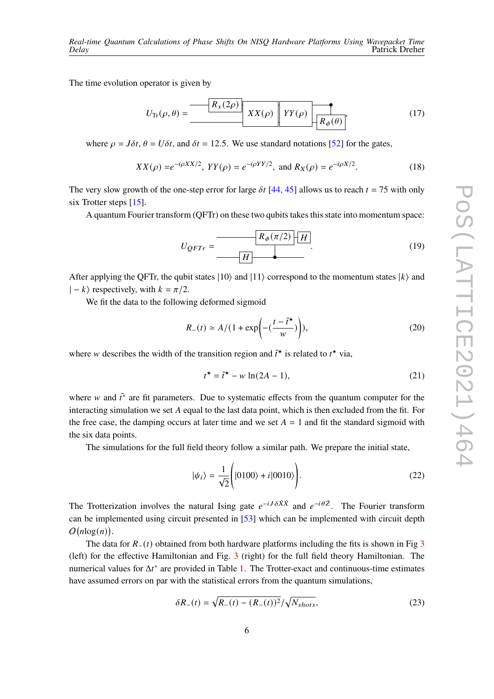The time evolution operator is given by

$$
U_{\text{Tr}}(\rho,\theta) = \frac{\left| R_x(2\rho) \right|}{\left| XX(\rho) \right|} XY(\rho) \left| \frac{\partial}{\partial R_{\phi}(\theta)} \right|} \tag{17}
$$

where  $\rho = J \delta t$ ,  $\theta = U \delta t$ , and  $\delta t = 12.5$ . We use standard notations [\[52\]](#page-11-10) for the gates,

$$
XX(\rho) = e^{-i\rho XX/2}, \, YY(\rho) = e^{-i\rho YY/2}, \text{ and } R_X(\rho) = e^{-i\rho X/2}.
$$
 (18)

The very slow growth of the one-step error for large  $\delta t$  [\[44,](#page-11-2) [45\]](#page-11-3) allows us to reach  $t = 75$  with only six Trotter steps [\[15\]](#page-9-2).

A quantum Fourier transform (QFTr) on these two qubits takes this state into momentum space:

$$
U_{QFTr} = \frac{R_{\phi}(\pi/2)}{|H|} \tag{19}
$$

After applying the QFTr, the qubit states  $|10\rangle$  and  $|11\rangle$  correspond to the momentum states  $|k\rangle$  and  $|-k\rangle$  respectively, with  $k = \pi/2$ .

We fit the data to the following deformed sigmoid

$$
R_{-}(t) \simeq A/(1 + \exp\left(-\left(\frac{t - \tilde{t}^{\star}}{w}\right)\right)),\tag{20}
$$

where w describes the width of the transition region and  $\tilde{t}^{\star}$  is related to  $t^{\star}$  via,

$$
t^* = \tilde{t}^* - w \ln(2A - 1),\tag{21}
$$

where w and  $\tilde{t}^*$  are fit parameters. Due to systematic effects from the quantum computer for the interacting simulation we set  $A$  equal to the last data point, which is then excluded from the fit. For the free case, the damping occurs at later time and we set  $A = 1$  and fit the standard sigmoid with the six data points.

The simulations for the full field theory follow a similar path. We prepare the initial state,

$$
|\psi_i\rangle = \frac{1}{\sqrt{2}} \Bigg( |0100\rangle + i|0010\rangle \Bigg). \tag{22}
$$

The Trotterization involves the natural Ising gate  $e^{-iJ\delta\hat{X}\hat{X}}$  and  $e^{-i\theta\hat{Z}}$ . The Fourier transform can be implemented using circuit presented in [\[53\]](#page-11-11) which can be implemented with circuit depth  $O(n \log(n)).$ 

The data for  $R_-(t)$  obtained from both hardware platforms including the fits is shown in Fig [3](#page-7-0) (left) for the effective Hamiltonian and Fig. [3](#page-7-0) (right) for the full field theory Hamiltonian. The numerical values for  $\Delta t^*$  are provided in Table [1.](#page-6-0) The Trotter-exact and continuous-time estimates have assumed errors on par with the statistical errors from the quantum simulations,

$$
\delta R_{-}(t) = \sqrt{R_{-}(t) - (R_{-}(t))^{2}} / \sqrt{N_{shots}},
$$
\n(23)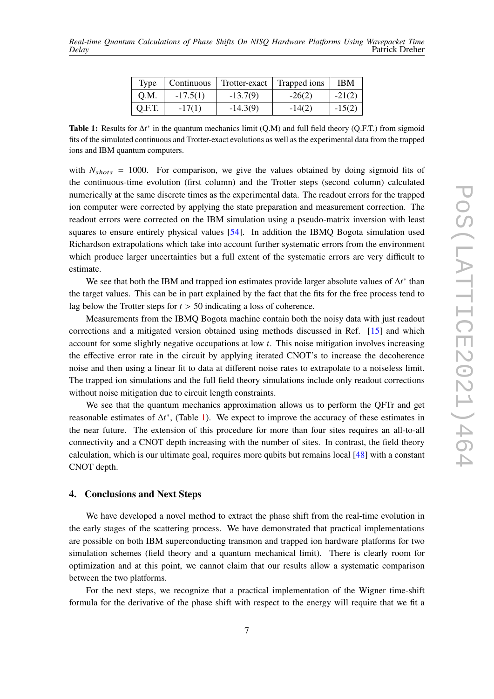| Type   | Continuous | Trotter-exact | Trapped ions | <b>IBM</b> |
|--------|------------|---------------|--------------|------------|
| Q.M.   | $-17.5(1)$ | $-13.7(9)$    | $-26(2)$     | $-21(2)$   |
| Q.F.T. | $-17(1)$   | $-14.3(9)$    | $-14(2)$     | $-15(2)$   |

<span id="page-6-0"></span>**Table 1:** Results for  $\Delta t^*$  in the quantum mechanics limit (Q.M) and full field theory (Q.F.T.) from sigmoid fits of the simulated continuous and Trotter-exact evolutions as well as the experimental data from the trapped ions and IBM quantum computers.

with  $N_{shots} = 1000$ . For comparison, we give the values obtained by doing sigmoid fits of the continuous-time evolution (first column) and the Trotter steps (second column) calculated numerically at the same discrete times as the experimental data. The readout errors for the trapped ion computer were corrected by applying the state preparation and measurement correction. The readout errors were corrected on the IBM simulation using a pseudo-matrix inversion with least squares to ensure entirely physical values [\[54\]](#page-11-12). In addition the IBMQ Bogota simulation used Richardson extrapolations which take into account further systematic errors from the environment which produce larger uncertainties but a full extent of the systematic errors are very difficult to estimate.

We see that both the IBM and trapped ion estimates provide larger absolute values of  $\Delta t^*$  than the target values. This can be in part explained by the fact that the fits for the free process tend to lag below the Trotter steps for  $t > 50$  indicating a loss of coherence.

Measurements from the IBMQ Bogota machine contain both the noisy data with just readout corrections and a mitigated version obtained using methods discussed in Ref. [\[15\]](#page-9-2) and which account for some slightly negative occupations at low  $t$ . This noise mitigation involves increasing the effective error rate in the circuit by applying iterated CNOT's to increase the decoherence noise and then using a linear fit to data at different noise rates to extrapolate to a noiseless limit. The trapped ion simulations and the full field theory simulations include only readout corrections without noise mitigation due to circuit length constraints.

We see that the quantum mechanics approximation allows us to perform the QFTr and get reasonable estimates of  $\Delta t^*$ , (Table [1\)](#page-6-0). We expect to improve the accuracy of these estimates in the near future. The extension of this procedure for more than four sites requires an all-to-all connectivity and a CNOT depth increasing with the number of sites. In contrast, the field theory calculation, which is our ultimate goal, requires more qubits but remains local [\[48\]](#page-11-6) with a constant CNOT depth.

# **4. Conclusions and Next Steps**

We have developed a novel method to extract the phase shift from the real-time evolution in the early stages of the scattering process. We have demonstrated that practical implementations are possible on both IBM superconducting transmon and trapped ion hardware platforms for two simulation schemes (field theory and a quantum mechanical limit). There is clearly room for optimization and at this point, we cannot claim that our results allow a systematic comparison between the two platforms.

For the next steps, we recognize that a practical implementation of the Wigner time-shift formula for the derivative of the phase shift with respect to the energy will require that we fit a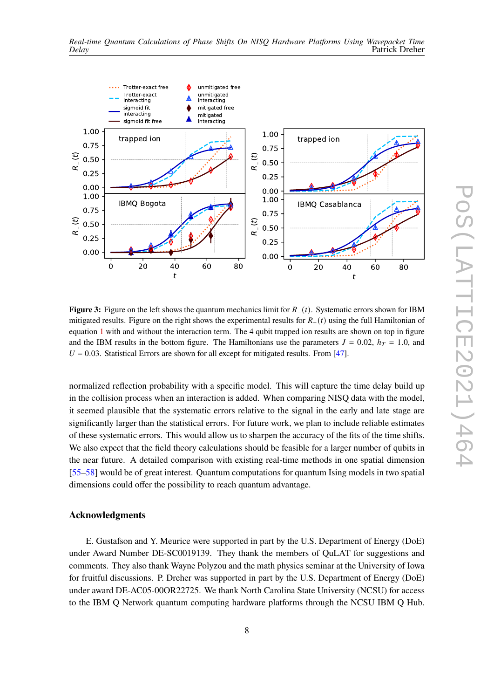<span id="page-7-0"></span>

**Figure 3:** Figure on the left shows the quantum mechanics limit for  $R_-(t)$ . Systematic errors shown for IBM mitigated results. Figure on the right shows the experimental results for  $R_-(t)$  using the full Hamiltonian of equation [1](#page-2-1) with and without the interaction term. The 4 qubit trapped ion results are shown on top in figure and the IBM results in the bottom figure. The Hamiltonians use the parameters  $J = 0.02$ ,  $h_T = 1.0$ , and  $U = 0.03$ . Statistical Errors are shown for all except for mitigated results. From [\[47\]](#page-11-5).

normalized reflection probability with a specific model. This will capture the time delay build up in the collision process when an interaction is added. When comparing NISQ data with the model, it seemed plausible that the systematic errors relative to the signal in the early and late stage are significantly larger than the statistical errors. For future work, we plan to include reliable estimates of these systematic errors. This would allow us to sharpen the accuracy of the fits of the time shifts. We also expect that the field theory calculations should be feasible for a larger number of qubits in the near future. A detailed comparison with existing real-time methods in one spatial dimension [\[55](#page-11-13)[–58\]](#page-12-0) would be of great interest. Quantum computations for quantum Ising models in two spatial dimensions could offer the possibility to reach quantum advantage.

# **Acknowledgments**

E. Gustafson and Y. Meurice were supported in part by the U.S. Department of Energy (DoE) under Award Number DE-SC0019139. They thank the members of QuLAT for suggestions and comments. They also thank Wayne Polyzou and the math physics seminar at the University of Iowa for fruitful discussions. P. Dreher was supported in part by the U.S. Department of Energy (DoE) under award DE-AC05-00OR22725. We thank North Carolina State University (NCSU) for access to the IBM Q Network quantum computing hardware platforms through the NCSU IBM Q Hub.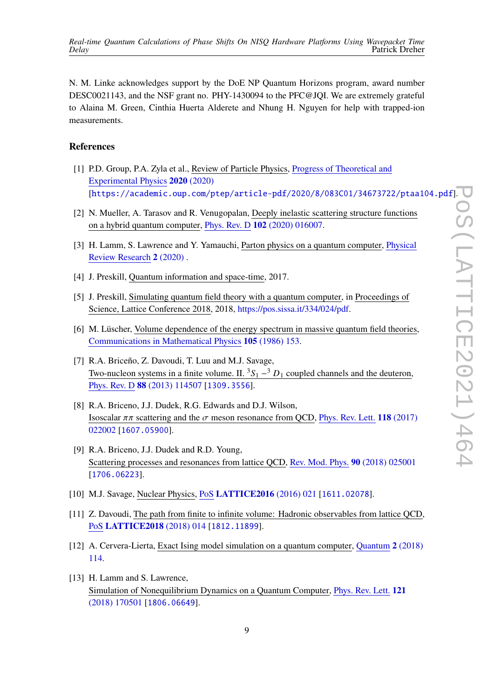N. M. Linke acknowledges support by the DoE NP Quantum Horizons program, award number DESC0021143, and the NSF grant no. PHY-1430094 to the PFC@JQI. We are extremely grateful to Alaina M. Green, Cinthia Huerta Alderete and Nhung H. Nguyen for help with trapped-ion measurements.

#### **References**

- <span id="page-8-7"></span>[1] P.D. Group, P.A. Zyla et al., Review of Particle Physics, Progress of [Theoretical](https://doi.org/10.1093/ptep/ptaa104) and [Experimental](https://doi.org/10.1093/ptep/ptaa104) Physics **2020** (2020) [[https://academic.oup.com/ptep/article-pdf/2020/8/083C01/34673722/ptaa104.pdf](https://arxiv.org/abs/https://academic.oup.com/ptep/article-pdf/2020/8/083C01/34673722/ptaa104.pdf)].
- <span id="page-8-0"></span>[2] N. Mueller, A. Tarasov and R. Venugopalan, Deeply inelastic scattering structure functions on a hybrid quantum computer, Phys. Rev. D **102** [\(2020\) 016007.](https://doi.org/10.1103/PhysRevD.102.016007)
- <span id="page-8-1"></span>[3] H. Lamm, S. Lawrence and Y. Yamauchi, Parton physics on a quantum computer, [Physical](https://doi.org/10.1103/physrevresearch.2.013272) Review [Research](https://doi.org/10.1103/physrevresearch.2.013272) **2** (2020) .
- <span id="page-8-2"></span>[4] J. Preskill, Quantum information and space-time, 2017.
- <span id="page-8-3"></span>[5] J. Preskill, Simulating quantum field theory with a quantum computer, in Proceedings of Science, Lattice Conference 2018, 2018, [https://pos.sissa.it/334/024/pdf.](https://pos.sissa.it/334/024/pdf)
- <span id="page-8-4"></span>[6] M. Lüscher, Volume dependence of the energy spectrum in massive quantum field theories, [Communications](https://doi.org/10.1007/BF01211097) in Mathematical Physics **105** (1986) 153.
- [7] R.A. Briceño, Z. Davoudi, T. Luu and M.J. Savage, Two-nucleon systems in a finite volume. II.  ${}^{3}S_{1} - {}^{3}D_{1}$  coupled channels and the deuteron, Phys. Rev. D **88** [\(2013\) 114507](https://doi.org/10.1103/PhysRevD.88.114507) [[1309.3556](https://arxiv.org/abs/1309.3556)].
- [8] R.A. Briceno, J.J. Dudek, R.G. Edwards and D.J. Wilson, Isoscalar  $\pi\pi$  scattering and the  $\sigma$  meson resonance from QCD, Phys. Rev. Lett. **118** [\(2017\)](https://doi.org/10.1103/PhysRevLett.118.022002) [022002](https://doi.org/10.1103/PhysRevLett.118.022002) [[1607.05900](https://arxiv.org/abs/1607.05900)].
- [9] R.A. Briceno, J.J. Dudek and R.D. Young, Scattering processes and resonances from lattice QCD, Rev. Mod. Phys. **90** [\(2018\) 025001](https://doi.org/10.1103/RevModPhys.90.025001) [[1706.06223](https://arxiv.org/abs/1706.06223)].
- [10] M.J. Savage, Nuclear Physics, PoS **[LATTICE2016](https://doi.org/10.22323/1.256.0021)** (2016) 021 [[1611.02078](https://arxiv.org/abs/1611.02078)].
- <span id="page-8-5"></span>[11] Z. Davoudi, The path from finite to infinite volume: Hadronic observables from lattice QCD, PoS **[LATTICE2018](https://doi.org/10.22323/1.334.0014)** (2018) 014 [[1812.11899](https://arxiv.org/abs/1812.11899)].
- <span id="page-8-6"></span>[12] A. Cervera-Lierta, Exact Ising model simulation on a quantum computer, [Quantum](https://doi.org/10.22331/q-2018-12-21-114) **2** (2018) [114.](https://doi.org/10.22331/q-2018-12-21-114)
- [13] H. Lamm and S. Lawrence, Simulation of Nonequilibrium Dynamics on a Quantum Computer, [Phys.](https://doi.org/10.1103/PhysRevLett.121.170501) Rev. Lett. **121** [\(2018\) 170501](https://doi.org/10.1103/PhysRevLett.121.170501) [[1806.06649](https://arxiv.org/abs/1806.06649)].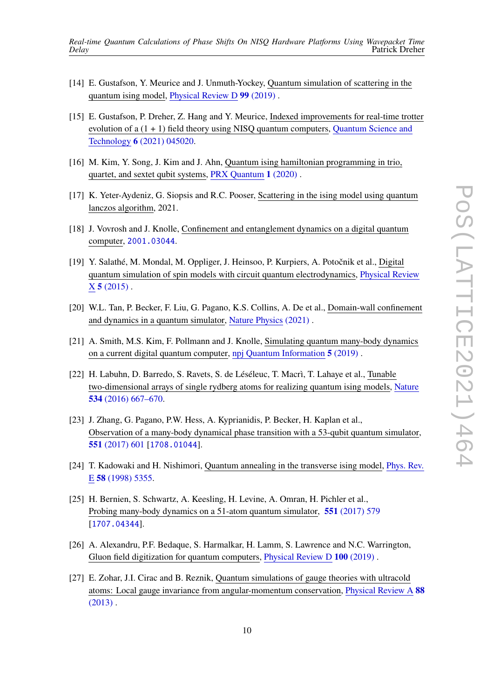- <span id="page-9-3"></span>[14] E. Gustafson, Y. Meurice and J. Unmuth-Yockey, Quantum simulation of scattering in the quantum ising model, [Physical](https://doi.org/10.1103/PhysRevD.99.094503) Review D **99** (2019) .
- <span id="page-9-2"></span>[15] E. Gustafson, P. Dreher, Z. Hang and Y. Meurice, Indexed improvements for real-time trotter evolution of  $a(1 + 1)$  field theory using NISQ quantum computers, [Quantum](https://doi.org/10.1088/2058-9565/ac1dff) Science and Technology **6** [\(2021\) 045020.](https://doi.org/10.1088/2058-9565/ac1dff)
- [16] M. Kim, Y. Song, J. Kim and J. Ahn, Quantum ising hamiltonian programming in trio, quartet, and sextet qubit systems, PRX [Quantum](https://doi.org/10.1103/prxquantum.1.020323) **1** (2020) .
- [17] K. Yeter-Aydeniz, G. Siopsis and R.C. Pooser, Scattering in the ising model using quantum lanczos algorithm, 2021.
- [18] J. Vovrosh and J. Knolle, Confinement and entanglement dynamics on a digital quantum computer, [2001.03044](https://arxiv.org/abs/2001.03044).
- [19] Y. Salathé, M. Mondal, M. Oppliger, J. Heinsoo, P. Kurpiers, A. Potočnik et al., Digital quantum simulation of spin models with circuit quantum electrodynamics, [Physical](https://doi.org/10.1103/physrevx.5.021027) Review X **5** [\(2015\)](https://doi.org/10.1103/physrevx.5.021027) .
- [20] W.L. Tan, P. Becker, F. Liu, G. Pagano, K.S. Collins, A. De et al., Domain-wall confinement and dynamics in a quantum simulator, Nature [Physics \(2021\)](https://doi.org/10.1038/s41567-021-01194-3) .
- [21] A. Smith, M.S. Kim, F. Pollmann and J. Knolle, Simulating quantum many-body dynamics on a current digital quantum computer, npj Quantum [Information](https://doi.org/10.1038/s41534-019-0217-0) **5** (2019) .
- [22] H. Labuhn, D. Barredo, S. Ravets, S. de Léséleuc, T. Macrì, T. Lahaye et al., Tunable two-dimensional arrays of single rydberg atoms for realizing quantum ising models, [Nature](https://doi.org/10.1038/nature18274) **534** [\(2016\) 667–670.](https://doi.org/10.1038/nature18274)
- [23] J. Zhang, G. Pagano, P.W. Hess, A. Kyprianidis, P. Becker, H. Kaplan et al., Observation of a many-body dynamical phase transition with a 53-qubit quantum simulator, **551** [\(2017\) 601](https://doi.org/10.1038/nature24654) [[1708.01044](https://arxiv.org/abs/1708.01044)].
- [24] T. Kadowaki and H. Nishimori, Quantum annealing in the transverse ising model, [Phys.](https://doi.org/10.1103/PhysRevE.58.5355) Rev. E **58** [\(1998\) 5355.](https://doi.org/10.1103/PhysRevE.58.5355)
- <span id="page-9-0"></span>[25] H. Bernien, S. Schwartz, A. Keesling, H. Levine, A. Omran, H. Pichler et al., Probing many-body dynamics on a 51-atom quantum simulator, **551** [\(2017\) 579](https://doi.org/10.1038/nature24622) [[1707.04344](https://arxiv.org/abs/1707.04344)].
- <span id="page-9-1"></span>[26] A. Alexandru, P.F. Bedaque, S. Harmalkar, H. Lamm, S. Lawrence and N.C. Warrington, Gluon field digitization for quantum computers, [Physical](https://doi.org/10.1103/physrevd.100.114501) Review D **100** (2019) .
- [27] E. Zohar, J.I. Cirac and B. Reznik, Quantum simulations of gauge theories with ultracold atoms: Local gauge invariance from angular-momentum conservation, [Physical](https://doi.org/10.1103/physreva.88.023617) Review A **88**  $(2013)$ .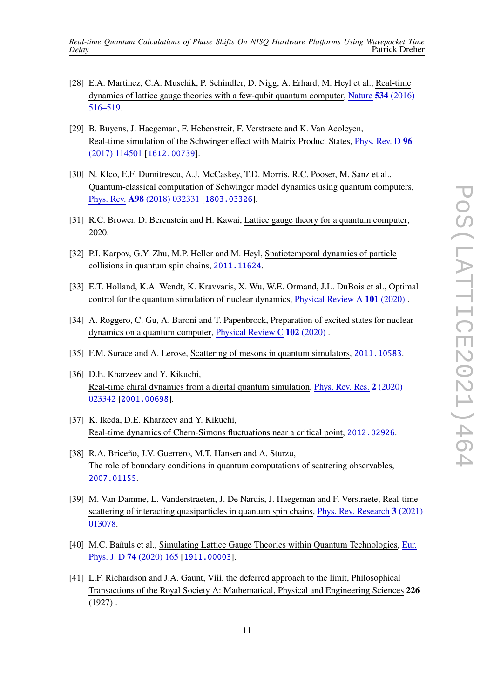- [28] E.A. Martinez, C.A. Muschik, P. Schindler, D. Nigg, A. Erhard, M. Heyl et al., Real-time dynamics of lattice gauge theories with a few-qubit quantum computer, [Nature](https://doi.org/10.1038/nature18318) **534** (2016) [516–519.](https://doi.org/10.1038/nature18318)
- [29] B. Buyens, J. Haegeman, F. Hebenstreit, F. Verstraete and K. Van Acoleyen, Real-time simulation of the Schwinger effect with Matrix Product States, [Phys.](https://doi.org/10.1103/PhysRevD.96.114501) Rev. D **96** [\(2017\) 114501](https://doi.org/10.1103/PhysRevD.96.114501) [[1612.00739](https://arxiv.org/abs/1612.00739)].
- <span id="page-10-2"></span>[30] N. Klco, E.F. Dumitrescu, A.J. McCaskey, T.D. Morris, R.C. Pooser, M. Sanz et al., Quantum-classical computation of Schwinger model dynamics using quantum computers, Phys. Rev. **A98** [\(2018\) 032331](https://doi.org/10.1103/PhysRevA.98.032331) [[1803.03326](https://arxiv.org/abs/1803.03326)].
- [31] R.C. Brower, D. Berenstein and H. Kawai, Lattice gauge theory for a quantum computer, 2020.
- [32] P.I. Karpov, G.Y. Zhu, M.P. Heller and M. Heyl, Spatiotemporal dynamics of particle collisions in quantum spin chains, [2011.11624](https://arxiv.org/abs/2011.11624).
- [33] E.T. Holland, K.A. Wendt, K. Kravvaris, X. Wu, W.E. Ormand, J.L. DuBois et al., Optimal control for the quantum simulation of nuclear dynamics, [Physical](https://doi.org/10.1103/physreva.101.062307) Review A **101** (2020) .
- [34] A. Roggero, C. Gu, A. Baroni and T. Papenbrock, Preparation of excited states for nuclear dynamics on a quantum computer, [Physical](https://doi.org/10.1103/physrevc.102.064624) Review C **102** (2020) .
- [35] F.M. Surace and A. Lerose, Scattering of mesons in quantum simulators, [2011.10583](https://arxiv.org/abs/2011.10583).
- [36] D.E. Kharzeev and Y. Kikuchi, Real-time chiral dynamics from a digital quantum simulation, Phys. Rev. Res. **2** [\(2020\)](https://doi.org/10.1103/PhysRevResearch.2.023342) [023342](https://doi.org/10.1103/PhysRevResearch.2.023342) [[2001.00698](https://arxiv.org/abs/2001.00698)].
- [37] K. Ikeda, D.E. Kharzeev and Y. Kikuchi, Real-time dynamics of Chern-Simons fluctuations near a critical point, [2012.02926](https://arxiv.org/abs/2012.02926).
- [38] R.A. Briceño, J.V. Guerrero, M.T. Hansen and A. Sturzu, The role of boundary conditions in quantum computations of scattering observables, [2007.01155](https://arxiv.org/abs/2007.01155).
- [39] M. Van Damme, L. Vanderstraeten, J. De Nardis, J. Haegeman and F. Verstraete, Real-time scattering of interacting quasiparticles in quantum spin chains, Phys. Rev. [Research](https://doi.org/10.1103/PhysRevResearch.3.013078) **3** (2021) [013078.](https://doi.org/10.1103/PhysRevResearch.3.013078)
- <span id="page-10-0"></span>[40] M.C. Bañuls et al., Simulating Lattice Gauge Theories within Quantum Technologies, [Eur.](https://doi.org/10.1140/epjd/e2020-100571-8) Phys. J. D **74** [\(2020\) 165](https://doi.org/10.1140/epjd/e2020-100571-8) [[1911.00003](https://arxiv.org/abs/1911.00003)].
- <span id="page-10-1"></span>[41] L.F. Richardson and J.A. Gaunt, Viii. the deferred approach to the limit, Philosophical Transactions of the Royal Society A: Mathematical, Physical and Engineering Sciences **226**  $(1927)$ .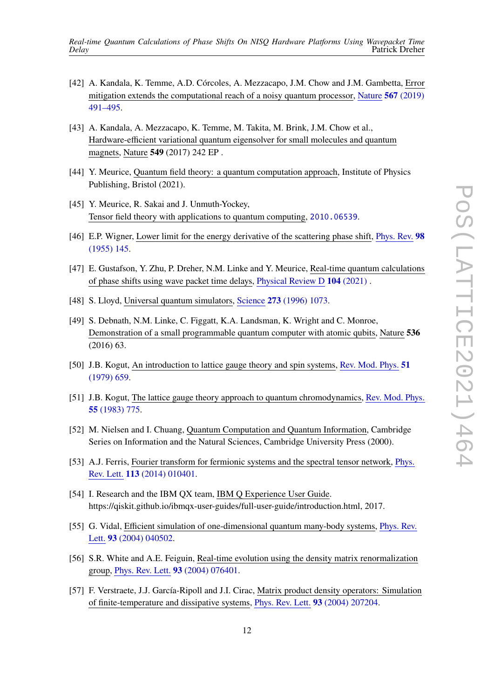- <span id="page-11-0"></span>[42] A. Kandala, K. Temme, A.D. Córcoles, A. Mezzacapo, J.M. Chow and J.M. Gambetta, Error mitigation extends the computational reach of a noisy quantum processor, [Nature](https://doi.org/10.1038/s41586-019-1040-7) **567** (2019) [491–495.](https://doi.org/10.1038/s41586-019-1040-7)
- <span id="page-11-1"></span>[43] A. Kandala, A. Mezzacapo, K. Temme, M. Takita, M. Brink, J.M. Chow et al., Hardware-efficient variational quantum eigensolver for small molecules and quantum magnets, Nature **549** (2017) 242 EP .
- <span id="page-11-2"></span>[44] Y. Meurice, Quantum field theory: a quantum computation approach, Institute of Physics Publishing, Bristol (2021).
- <span id="page-11-3"></span>[45] Y. Meurice, R. Sakai and J. Unmuth-Yockey, Tensor field theory with applications to quantum computing, [2010.06539](https://arxiv.org/abs/2010.06539).
- <span id="page-11-4"></span>[46] E.P. Wigner, Lower limit for the energy derivative of the scattering phase shift, [Phys.](https://doi.org/10.1103/PhysRev.98.145) Rev. **98** [\(1955\) 145.](https://doi.org/10.1103/PhysRev.98.145)
- <span id="page-11-5"></span>[47] E. Gustafson, Y. Zhu, P. Dreher, N.M. Linke and Y. Meurice, Real-time quantum calculations of phase shifts using wave packet time delays, [Physical](https://doi.org/10.1103/physrevd.104.054507) Review D **104** (2021) .
- <span id="page-11-6"></span>[48] S. Lloyd, Universal quantum simulators, Science **273** [\(1996\) 1073.](https://doi.org/10.1126/science.273.5278.1073)
- <span id="page-11-7"></span>[49] S. Debnath, N.M. Linke, C. Figgatt, K.A. Landsman, K. Wright and C. Monroe, Demonstration of a small programmable quantum computer with atomic qubits, Nature **536** (2016) 63.
- <span id="page-11-8"></span>[50] J.B. Kogut, An introduction to lattice gauge theory and spin systems, Rev. Mod. [Phys.](https://doi.org/10.1103/RevModPhys.51.659) **51** [\(1979\) 659.](https://doi.org/10.1103/RevModPhys.51.659)
- <span id="page-11-9"></span>[51] J.B. Kogut, The lattice gauge theory approach to quantum chromodynamics, Rev. Mod. [Phys.](https://doi.org/10.1103/RevModPhys.55.775) **55** [\(1983\) 775.](https://doi.org/10.1103/RevModPhys.55.775)
- <span id="page-11-10"></span>[52] M. Nielsen and I. Chuang, Quantum Computation and Quantum Information, Cambridge Series on Information and the Natural Sciences, Cambridge University Press (2000).
- <span id="page-11-11"></span>[53] A.J. Ferris, Fourier transform for fermionic systems and the spectral tensor network, [Phys.](https://doi.org/10.1103/PhysRevLett.113.010401) Rev. Lett. **113** [\(2014\) 010401.](https://doi.org/10.1103/PhysRevLett.113.010401)
- <span id="page-11-12"></span>[54] I. Research and the IBM QX team, IBM Q Experience User Guide. https://qiskit.github.io/ibmqx-user-guides/full-user-guide/introduction.html, 2017.
- <span id="page-11-13"></span>[55] G. Vidal, Efficient simulation of one-dimensional quantum many-body systems, [Phys.](https://doi.org/10.1103/PhysRevLett.93.040502) Rev. Lett. **93** [\(2004\) 040502.](https://doi.org/10.1103/PhysRevLett.93.040502)
- [56] S.R. White and A.E. Feiguin, Real-time evolution using the density matrix renormalization group, Phys. Rev. Lett. **93** [\(2004\) 076401.](https://doi.org/10.1103/PhysRevLett.93.076401)
- [57] F. Verstraete, J.J. García-Ripoll and J.I. Cirac, Matrix product density operators: Simulation of finite-temperature and dissipative systems, Phys. Rev. Lett. **93** [\(2004\) 207204.](https://doi.org/10.1103/PhysRevLett.93.207204)